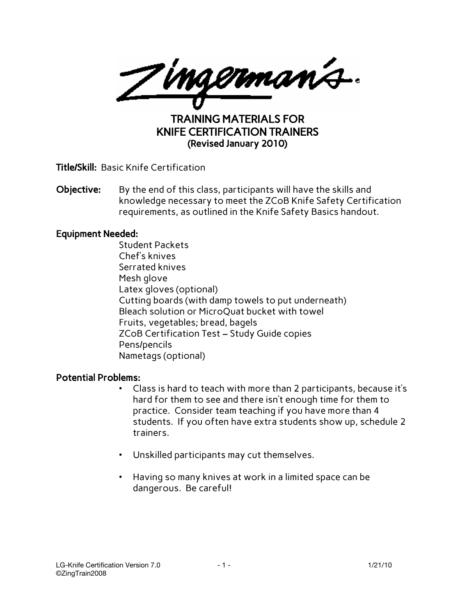<u>Jingermanis.</u>

TRAINING MATERIALS FOR KNIFE CERTIFICATION TRAINERS (Revised January 2010)

Title/Skill: Basic Knife Certification

**Objective:** By the end of this class, participants will have the skills and knowledge necessary to meet the ZCoB Knife Safety Certification requirements, as outlined in the Knife Safety Basics handout.

#### Equipment Needed:

Student Packets Chef's knives Serrated knives Mesh glove Latex gloves (optional) Cutting boards (with damp towels to put underneath) Bleach solution or MicroQuat bucket with towel Fruits, vegetables; bread, bagels ZCoB Certification Test – Study Guide copies Pens/pencils Nametags (optional)

#### Potential Problems:

- Class is hard to teach with more than 2 participants, because it's hard for them to see and there isn't enough time for them to practice. Consider team teaching if you have more than 4 students. If you often have extra students show up, schedule 2 trainers.
- Unskilled participants may cut themselves.
- Having so many knives at work in a limited space can be dangerous. Be careful!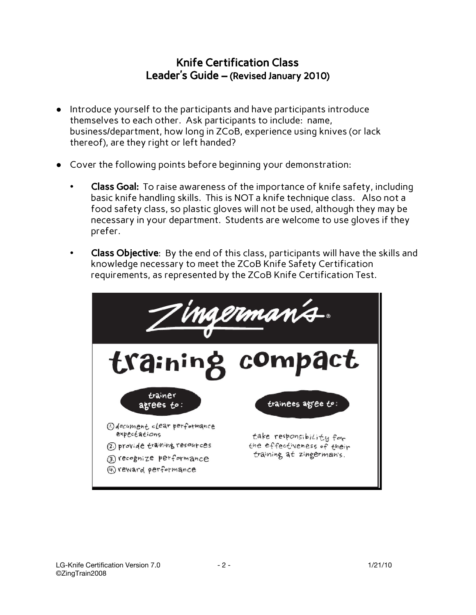## Knife Certification Class Leader's Guide – (Revised January 2010)

- Introduce yourself to the participants and have participants introduce themselves to each other. Ask participants to include: name, business/department, how long in ZCoB, experience using knives (or lack thereof), are they right or left handed?
- Cover the following points before beginning your demonstration:
	- Class Goal: To raise awareness of the importance of knife safety, including basic knife handling skills. This is NOT a knife technique class. Also not a food safety class, so plastic gloves will not be used, although they may be necessary in your department. Students are welcome to use gloves if they prefer.
	- Class Objective: By the end of this class, participants will have the skills and knowledge necessary to meet the ZCoB Knife Safety Certification requirements, as represented by the ZCoB Knife Certification Test.

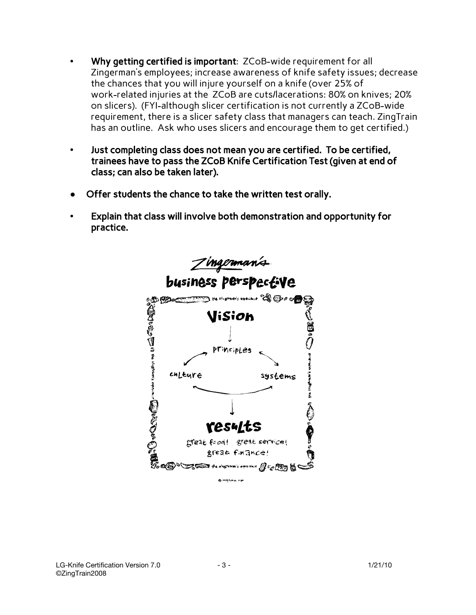- Why getting certified is important: ZCoB-wide requirement for all Zingerman's employees; increase awareness of knife safety issues; decrease the chances that you will injure yourself on a knife (over 25% of work-related injuries at the ZCoB are cuts/lacerations: 80% on knives; 20% on slicers). (FYI-although slicer certification is not currently a ZCoB-wide requirement, there is a slicer safety class that managers can teach. ZingTrain has an outline. Ask who uses slicers and encourage them to get certified.)
- Just completing class does not mean you are certified. To be certified, trainees have to pass the ZCoB Knife Certification Test (given at end of class; can also be taken later).
- Offer students the chance to take the written test orally.
- Explain that class will involve both demonstration and opportunity for practice.

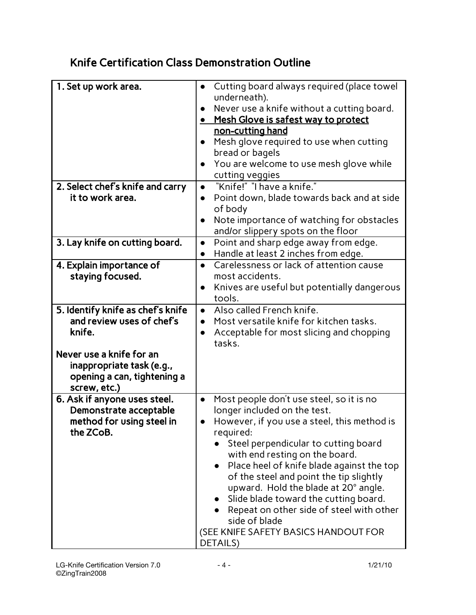# Knife Certification Class Demonstration Outline

| 1. Set up work area.<br>2. Select chef's knife and carry                                             | Cutting board always required (place towel<br>$\bullet$<br>underneath).<br>Never use a knife without a cutting board.<br>$\bullet$<br><u>Mesh Glove is safest way to protect</u><br>non-cutting hand<br>Mesh glove required to use when cutting<br>$\bullet$<br>bread or bagels<br>You are welcome to use mesh glove while<br>cutting veggies<br>"Knife!" "I have a knife."<br>$\bullet$                                                                                                                              |
|------------------------------------------------------------------------------------------------------|-----------------------------------------------------------------------------------------------------------------------------------------------------------------------------------------------------------------------------------------------------------------------------------------------------------------------------------------------------------------------------------------------------------------------------------------------------------------------------------------------------------------------|
| it to work area.                                                                                     | Point down, blade towards back and at side<br>$\bullet$<br>of body<br>Note importance of watching for obstacles<br>and/or slippery spots on the floor                                                                                                                                                                                                                                                                                                                                                                 |
| 3. Lay knife on cutting board.                                                                       | Point and sharp edge away from edge.<br>$\bullet$<br>Handle at least 2 inches from edge.<br>$\bullet$                                                                                                                                                                                                                                                                                                                                                                                                                 |
| 4. Explain importance of<br>staying focused.                                                         | Carelessness or lack of attention cause<br>$\bullet$<br>most accidents.<br>Knives are useful but potentially dangerous<br>$\bullet$<br>tools.                                                                                                                                                                                                                                                                                                                                                                         |
| 5. Identify knife as chef's knife<br>and review uses of chef's<br>knife.                             | Also called French knife.<br>$\bullet$<br>Most versatile knife for kitchen tasks.<br>$\bullet$<br>Acceptable for most slicing and chopping<br>$\bullet$<br>tasks.                                                                                                                                                                                                                                                                                                                                                     |
| Never use a knife for an<br>inappropriate task (e.g.,<br>opening a can, tightening a<br>screw, etc.) |                                                                                                                                                                                                                                                                                                                                                                                                                                                                                                                       |
| 6. Ask if anyone uses steel.<br>Demonstrate acceptable<br>method for using steel in<br>the ZCoB.     | Most people don't use steel, so it is no<br>$\bullet$<br>longer included on the test.<br>However, if you use a steel, this method is<br>required:<br>Steel perpendicular to cutting board<br>with end resting on the board.<br>Place heel of knife blade against the top<br>of the steel and point the tip slightly<br>upward. Hold the blade at 20° angle.<br>Slide blade toward the cutting board.<br>Repeat on other side of steel with other<br>side of blade<br>(SEE KNIFE SAFETY BASICS HANDOUT FOR<br>DETAILS) |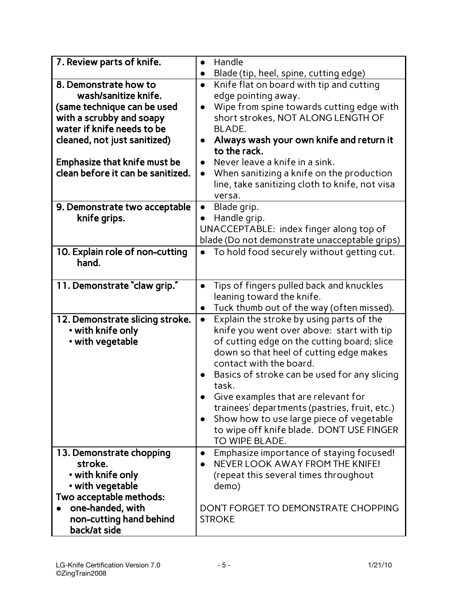| 7. Review parts of knife.         | Handle<br>$\bullet$                                                                                          |
|-----------------------------------|--------------------------------------------------------------------------------------------------------------|
| 8. Demonstrate how to             | Blade (tip, heel, spine, cutting edge)<br>$\bullet$<br>Knife flat on board with tip and cutting<br>$\bullet$ |
| wash/sanitize knife.              | edge pointing away.                                                                                          |
| (same technique can be used       | Wipe from spine towards cutting edge with<br>$\bullet$                                                       |
| with a scrubby and soapy          | short strokes, NOT ALONG LENGTH OF                                                                           |
| water if knife needs to be        | BLADE.                                                                                                       |
| cleaned, not just sanitized)      | Always wash your own knife and return it<br>$\bullet$                                                        |
|                                   | to the rack.                                                                                                 |
| Emphasize that knife must be      | Never leave a knife in a sink.<br>$\bullet$                                                                  |
| clean before it can be sanitized. | When sanitizing a knife on the production<br>$\bullet$                                                       |
|                                   | line, take sanitizing cloth to knife, not visa                                                               |
|                                   | versa.                                                                                                       |
| 9. Demonstrate two acceptable     | Blade grip.<br>$\bullet$                                                                                     |
| knife grips.                      | Handle grip.                                                                                                 |
|                                   | UNACCEPTABLE: index finger along top of                                                                      |
| 10. Explain role of non-cutting   | blade (Do not demonstrate unacceptable grips)<br>To hold food securely without getting cut.                  |
| hand.                             |                                                                                                              |
|                                   |                                                                                                              |
| 11. Demonstrate "claw grip."      | Tips of fingers pulled back and knuckles<br>$\bullet$                                                        |
|                                   | leaning toward the knife.                                                                                    |
|                                   | Tuck thumb out of the way (often missed).<br>$\bullet$                                                       |
| 12. Demonstrate slicing stroke.   | Explain the stroke by using parts of the<br>$\bullet$                                                        |
| • with knife only                 | knife you went over above: start with tip                                                                    |
| • with vegetable                  | of cutting edge on the cutting board; slice                                                                  |
|                                   | down so that heel of cutting edge makes                                                                      |
|                                   | contact with the board.                                                                                      |
|                                   | Basics of stroke can be used for any slicing                                                                 |
|                                   | task.                                                                                                        |
|                                   | Give examples that are relevant for<br>trainees' departments (pastries, fruit, etc.)                         |
|                                   | Show how to use large piece of vegetable                                                                     |
|                                   | to wipe off knife blade. DON'T USE FINGER                                                                    |
|                                   | TO WIPE BLADE.                                                                                               |
| 13. Demonstrate chopping          | Emphasize importance of staying focused!<br>$\bullet$                                                        |
| stroke.                           | NEVER LOOK AWAY FROM THE KNIFF!<br>$\bullet$                                                                 |
| • with knife only                 | (repeat this several times throughout                                                                        |
| • with vegetable                  | demo)                                                                                                        |
| Two acceptable methods:           |                                                                                                              |
| one-handed, with                  | DON'T FORGET TO DEMONSTRATE CHOPPING                                                                         |
| non-cutting hand behind           | <b>STROKE</b>                                                                                                |
| back/at side                      |                                                                                                              |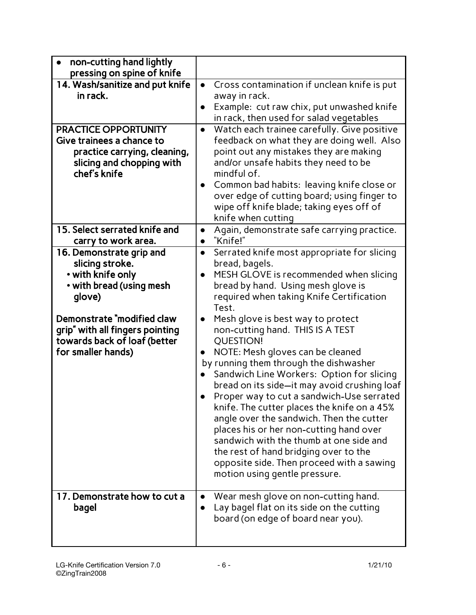| non-cutting hand lightly<br>pressing on spine of knife   |                                                                                                        |
|----------------------------------------------------------|--------------------------------------------------------------------------------------------------------|
| 14. Wash/sanitize and put knife                          | Cross contamination if unclean knife is put<br>$\bullet$                                               |
| in rack.                                                 | away in rack.                                                                                          |
|                                                          | Example: cut raw chix, put unwashed knife                                                              |
|                                                          | in rack, then used for salad vegetables                                                                |
| <b>PRACTICE OPPORTUNITY</b><br>Give trainees a chance to | Watch each trainee carefully. Give positive<br>$\bullet$<br>feedback on what they are doing well. Also |
| practice carrying, cleaning,                             | point out any mistakes they are making                                                                 |
| slicing and chopping with                                | and/or unsafe habits they need to be                                                                   |
| chef's knife                                             | mindful of.                                                                                            |
|                                                          | Common bad habits: leaving knife close or<br>$\bullet$                                                 |
|                                                          | over edge of cutting board; using finger to                                                            |
|                                                          | wipe off knife blade; taking eyes off of                                                               |
| 15. Select serrated knife and                            | knife when cutting<br>Again, demonstrate safe carrying practice.<br>$\bullet$                          |
| carry to work area.                                      | "Knife!"<br>$\bullet$                                                                                  |
| 16. Demonstrate grip and                                 | Serrated knife most appropriate for slicing<br>$\bullet$                                               |
| slicing stroke.                                          | bread, bagels.                                                                                         |
| • with knife only                                        | MESH GLOVE is recommended when slicing                                                                 |
| • with bread (using mesh                                 | bread by hand. Using mesh glove is                                                                     |
| glove)                                                   | required when taking Knife Certification<br>Test.                                                      |
| Demonstrate "modified claw                               | Mesh glove is best way to protect<br>$\bullet$                                                         |
| grip" with all fingers pointing                          | non-cutting hand. THIS IS A TEST                                                                       |
| towards back of loaf (better                             | <b>QUESTION!</b>                                                                                       |
| for smaller hands)                                       | NOTE: Mesh gloves can be cleaned<br>$\bullet$                                                          |
|                                                          | by running them through the dishwasher                                                                 |
|                                                          | Sandwich Line Workers: Option for slicing                                                              |
|                                                          | bread on its side-it may avoid crushing loaf                                                           |
|                                                          | Proper way to cut a sandwich-Use serrated                                                              |
|                                                          | knife. The cutter places the knife on a 45%<br>angle over the sandwich. Then the cutter                |
|                                                          | places his or her non-cutting hand over                                                                |
|                                                          | sandwich with the thumb at one side and                                                                |
|                                                          | the rest of hand bridging over to the                                                                  |
|                                                          | opposite side. Then proceed with a sawing                                                              |
|                                                          | motion using gentle pressure.                                                                          |
| 17. Demonstrate how to cut a                             | Wear mesh glove on non-cutting hand.                                                                   |
| bagel                                                    | Lay bagel flat on its side on the cutting                                                              |
|                                                          | board (on edge of board near you).                                                                     |
|                                                          |                                                                                                        |
|                                                          |                                                                                                        |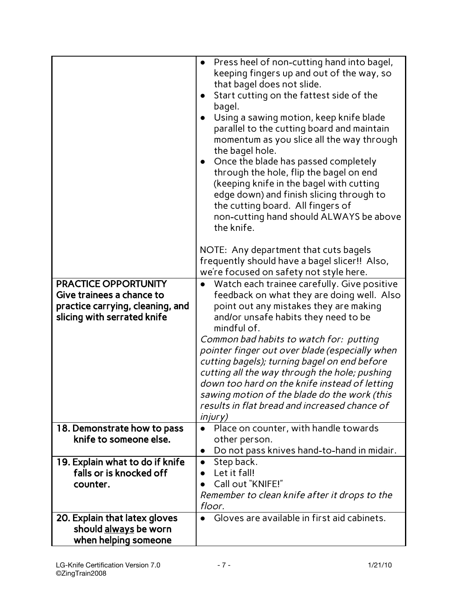| <b>PRACTICE OPPORTUNITY</b><br>Give trainees a chance to<br>practice carrying, cleaning, and<br>slicing with serrated knife | Press heel of non-cutting hand into bagel,<br>$\bullet$<br>keeping fingers up and out of the way, so<br>that bagel does not slide.<br>Start cutting on the fattest side of the<br>bagel.<br>Using a sawing motion, keep knife blade<br>$\bullet$<br>parallel to the cutting board and maintain<br>momentum as you slice all the way through<br>the bagel hole.<br>Once the blade has passed completely<br>$\bullet$<br>through the hole, flip the bagel on end<br>(keeping knife in the bagel with cutting<br>edge down) and finish slicing through to<br>the cutting board. All fingers of<br>non-cutting hand should ALWAYS be above<br>the knife.<br>NOTE: Any department that cuts bagels<br>frequently should have a bagel slicer!! Also,<br>we're focused on safety not style here.<br>Watch each trainee carefully. Give positive<br>feedback on what they are doing well. Also<br>point out any mistakes they are making<br>and/or unsafe habits they need to be |
|-----------------------------------------------------------------------------------------------------------------------------|--------------------------------------------------------------------------------------------------------------------------------------------------------------------------------------------------------------------------------------------------------------------------------------------------------------------------------------------------------------------------------------------------------------------------------------------------------------------------------------------------------------------------------------------------------------------------------------------------------------------------------------------------------------------------------------------------------------------------------------------------------------------------------------------------------------------------------------------------------------------------------------------------------------------------------------------------------------------------|
|                                                                                                                             | mindful of.<br>Common bad habits to watch for: putting<br>pointer finger out over blade (especially when<br>cutting bagels); turning bagel on end before<br>cutting all the way through the hole; pushing<br>down too hard on the knife instead of letting<br>sawing motion of the blade do the work (this<br>results in flat bread and increased chance of<br><i>injury</i> )                                                                                                                                                                                                                                                                                                                                                                                                                                                                                                                                                                                           |
| 18. Demonstrate how to pass<br>knife to someone else.                                                                       | Place on counter, with handle towards<br>other person.<br>Do not pass knives hand-to-hand in midair.<br>$\bullet$                                                                                                                                                                                                                                                                                                                                                                                                                                                                                                                                                                                                                                                                                                                                                                                                                                                        |
| 19. Explain what to do if knife<br>falls or is knocked off<br>counter.                                                      | Step back.<br>$\bullet$<br>Let it fall!<br>Call out "KNIFE!"<br>Remember to clean knife after it drops to the<br>floor.                                                                                                                                                                                                                                                                                                                                                                                                                                                                                                                                                                                                                                                                                                                                                                                                                                                  |
| 20. Explain that latex gloves<br>should always be worn<br>when helping someone                                              | Gloves are available in first aid cabinets.                                                                                                                                                                                                                                                                                                                                                                                                                                                                                                                                                                                                                                                                                                                                                                                                                                                                                                                              |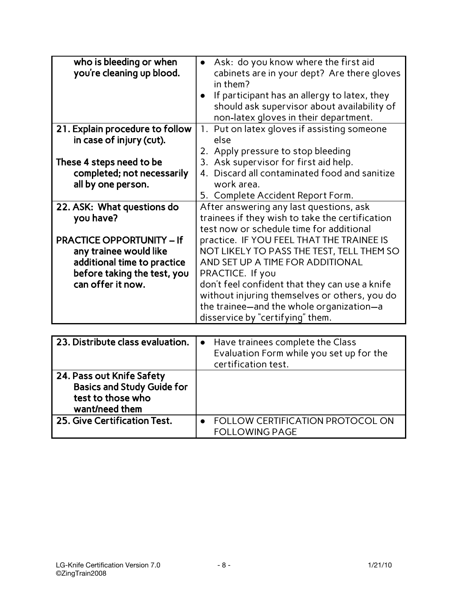| who is bleeding or when<br>you're cleaning up blood. | Ask: do you know where the first aid<br>cabinets are in your dept? Are there gloves<br>in them?<br>If participant has an allergy to latex, they<br>should ask supervisor about availability of<br>non-latex gloves in their department. |
|------------------------------------------------------|-----------------------------------------------------------------------------------------------------------------------------------------------------------------------------------------------------------------------------------------|
| 21. Explain procedure to follow                      | 1. Put on latex gloves if assisting someone                                                                                                                                                                                             |
| in case of injury (cut).                             | else<br>2. Apply pressure to stop bleeding                                                                                                                                                                                              |
| These 4 steps need to be                             | 3. Ask supervisor for first aid help.                                                                                                                                                                                                   |
| completed; not necessarily                           | 4. Discard all contaminated food and sanitize                                                                                                                                                                                           |
| all by one person.                                   | work area.                                                                                                                                                                                                                              |
|                                                      | 5. Complete Accident Report Form.                                                                                                                                                                                                       |
| 22. ASK: What questions do                           | After answering any last questions, ask                                                                                                                                                                                                 |
| you have?                                            | trainees if they wish to take the certification<br>test now or schedule time for additional                                                                                                                                             |
| <b>PRACTICE OPPORTUNITY - If</b>                     | practice. IF YOU FEEL THAT THE TRAINEE IS                                                                                                                                                                                               |
| any trainee would like                               | NOT LIKELY TO PASS THE TEST, TELL THEM SO                                                                                                                                                                                               |
| additional time to practice                          | AND SET UP A TIME FOR ADDITIONAL                                                                                                                                                                                                        |
| before taking the test, you                          | PRACTICE. If you                                                                                                                                                                                                                        |
| can offer it now.                                    | don't feel confident that they can use a knife                                                                                                                                                                                          |
|                                                      | without injuring themselves or others, you do                                                                                                                                                                                           |
|                                                      | the trainee-and the whole organization-a                                                                                                                                                                                                |
|                                                      | disservice by "certifying" them.                                                                                                                                                                                                        |

| 23. Distribute class evaluation.                                                                      | • Have trainees complete the Class<br>Evaluation Form while you set up for the<br>certification test. |
|-------------------------------------------------------------------------------------------------------|-------------------------------------------------------------------------------------------------------|
| 24. Pass out Knife Safety<br><b>Basics and Study Guide for</b><br>test to those who<br>want/need them |                                                                                                       |
| 25. Give Certification Test.                                                                          | <b>FOLLOW CERTIFICATION PROTOCOL ON</b><br><b>FOLLOWING PAGE</b>                                      |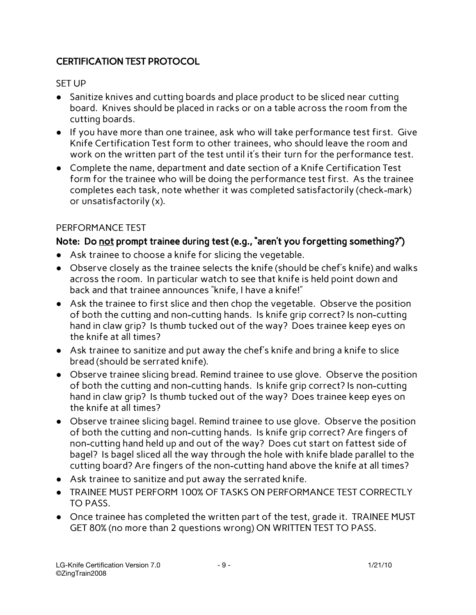## CERTIFICATION TEST PROTOCOL

#### SET UP

- Sanitize knives and cutting boards and place product to be sliced near cutting board. Knives should be placed in racks or on a table across the room from the cutting boards.
- If you have more than one trainee, ask who will take performance test first. Give Knife Certification Test form to other trainees, who should leave the room and work on the written part of the test until it's their turn for the performance test.
- Complete the name, department and date section of a Knife Certification Test form for the trainee who will be doing the performance test first. As the trainee completes each task, note whether it was completed satisfactorily (check-mark) or unsatisfactorily (x).

## PERFORMANCE TEST

## Note: Do not prompt trainee during test (e.g., "aren't you forgetting something?")

- Ask trainee to choose a knife for slicing the vegetable.
- Observe closely as the trainee selects the knife (should be chef's knife) and walks across the room. In particular watch to see that knife is held point down and back and that trainee announces "knife, I have a knife!"
- Ask the trainee to first slice and then chop the vegetable. Observe the position of both the cutting and non-cutting hands. Is knife grip correct? Is non-cutting hand in claw grip? Is thumb tucked out of the way? Does trainee keep eyes on the knife at all times?
- Ask trainee to sanitize and put away the chef's knife and bring a knife to slice bread (should be serrated knife).
- Observe trainee slicing bread. Remind trainee to use glove. Observe the position of both the cutting and non-cutting hands. Is knife grip correct? Is non-cutting hand in claw grip? Is thumb tucked out of the way? Does trainee keep eyes on the knife at all times?
- Observe trainee slicing bagel. Remind trainee to use glove. Observe the position of both the cutting and non-cutting hands. Is knife grip correct? Are fingers of non-cutting hand held up and out of the way? Does cut start on fattest side of bagel? Is bagel sliced all the way through the hole with knife blade parallel to the cutting board? Are fingers of the non-cutting hand above the knife at all times?
- Ask trainee to sanitize and put away the serrated knife.
- TRAINEE MUST PERFORM 100% OF TASKS ON PERFORMANCE TEST CORRECTLY TO PASS.
- Once trainee has completed the written part of the test, grade it. TRAINEE MUST GET 80% (no more than 2 questions wrong) ON WRITTEN TEST TO PASS.